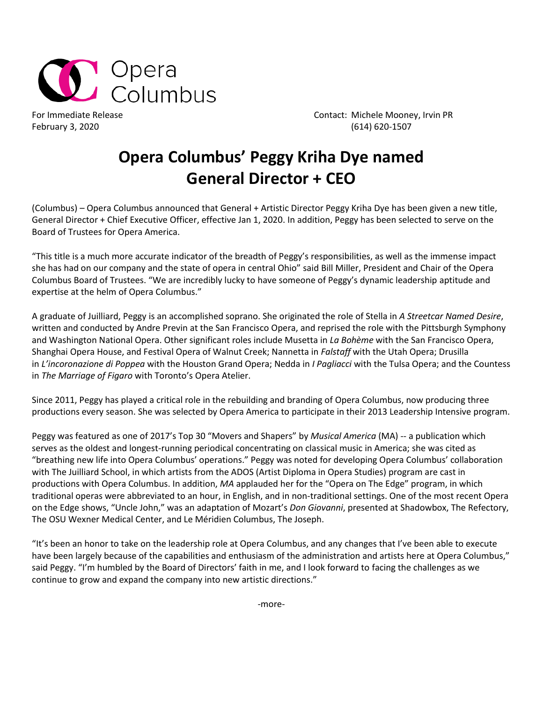

For Immediate Release **Contact: Michele Mooney, Irvin PR** February 3, 2020 (614) 620-1507

## **Opera Columbus' Peggy Kriha Dye named General Director + CEO**

(Columbus) – Opera Columbus announced that General + Artistic Director Peggy Kriha Dye has been given a new title, General Director + Chief Executive Officer, effective Jan 1, 2020. In addition, Peggy has been selected to serve on the Board of Trustees for Opera America.

"This title is a much more accurate indicator of the breadth of Peggy's responsibilities, as well as the immense impact she has had on our company and the state of opera in central Ohio" said Bill Miller, President and Chair of the Opera Columbus Board of Trustees. "We are incredibly lucky to have someone of Peggy's dynamic leadership aptitude and expertise at the helm of Opera Columbus."

A graduate of Juilliard, Peggy is an accomplished soprano. She originated the role of Stella in *A Streetcar Named Desire*, written and conducted by Andre Previn at the San Francisco Opera, and reprised the role with the Pittsburgh Symphony and Washington National Opera. Other significant roles include Musetta in *La Bohème* with the San Francisco Opera, Shanghai Opera House, and Festival Opera of Walnut Creek; Nannetta in *Falstaff* with the Utah Opera; Drusilla in *L'incoronazione di Poppea* with the Houston Grand Opera; Nedda in *I Pagliacci* with the Tulsa Opera; and the Countess in *The Marriage of Figaro* with Toronto's Opera Atelier.

Since 2011, Peggy has played a critical role in the rebuilding and branding of Opera Columbus, now producing three productions every season. She was selected by Opera America to participate in their 2013 Leadership Intensive program.

Peggy was featured as one of 2017's Top 30 "Movers and Shapers" by *Musical America* (MA) -- a publication which serves as the oldest and longest-running periodical concentrating on classical music in America; she was cited as "breathing new life into Opera Columbus' operations." Peggy was noted for developing Opera Columbus' collaboration with The Juilliard School, in which artists from the ADOS (Artist Diploma in Opera Studies) program are cast in productions with Opera Columbus. In addition, *MA* applauded her for the "Opera on The Edge" program, in which traditional operas were abbreviated to an hour, in English, and in non-traditional settings. One of the most recent Opera on the Edge shows, "Uncle John," was an adaptation of Mozart's *Don Giovanni*, presented at Shadowbox, The Refectory, The OSU Wexner Medical Center, and Le Méridien Columbus, The Joseph.

"It's been an honor to take on the leadership role at Opera Columbus, and any changes that I've been able to execute have been largely because of the capabilities and enthusiasm of the administration and artists here at Opera Columbus," said Peggy. "I'm humbled by the Board of Directors' faith in me, and I look forward to facing the challenges as we continue to grow and expand the company into new artistic directions."

-more-